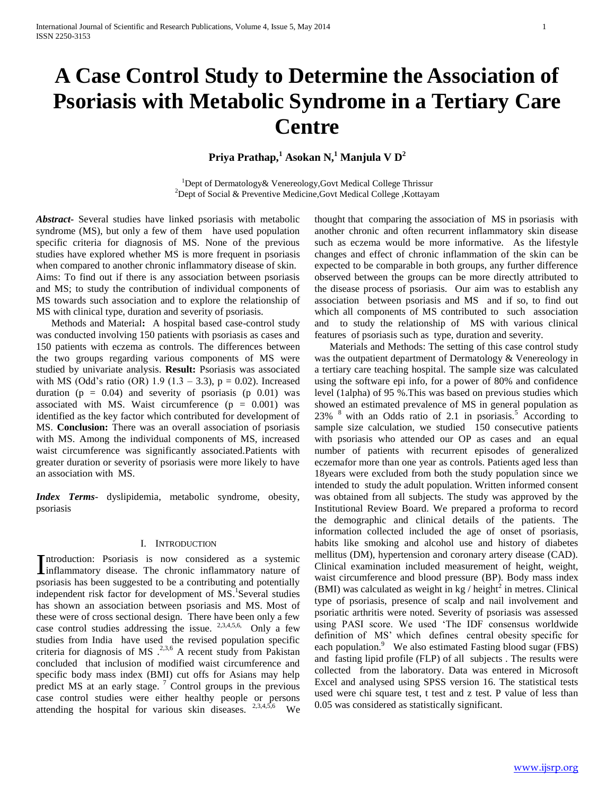# **A Case Control Study to Determine the Association of Psoriasis with Metabolic Syndrome in a Tertiary Care Centre**

**Priya Prathap,<sup>1</sup> Asokan N,<sup>1</sup> Manjula V D<sup>2</sup>**

<sup>1</sup>Dept of Dermatology& Venereology, Govt Medical College Thrissur <sup>2</sup>Dept of Social & Preventive Medicine, Govt Medical College, Kottayam

*Abstract***-** Several studies have linked psoriasis with metabolic syndrome (MS), but only a few of them have used population specific criteria for diagnosis of MS. None of the previous studies have explored whether MS is more frequent in psoriasis when compared to another chronic inflammatory disease of skin. Aims: To find out if there is any association between psoriasis and MS; to study the contribution of individual components of MS towards such association and to explore the relationship of MS with clinical type, duration and severity of psoriasis.

 Methods and Material**:** A hospital based case-control study was conducted involving 150 patients with psoriasis as cases and 150 patients with eczema as controls. The differences between the two groups regarding various components of MS were studied by univariate analysis. **Result:** Psoriasis was associated with MS (Odd's ratio (OR) 1.9 (1.3 – 3.3),  $p = 0.02$ ). Increased duration ( $p = 0.04$ ) and severity of psoriasis ( $p \ 0.01$ ) was associated with MS. Waist circumference  $(p = 0.001)$  was identified as the key factor which contributed for development of MS. **Conclusion:** There was an overall association of psoriasis with MS. Among the individual components of MS, increased waist circumference was significantly associated.Patients with greater duration or severity of psoriasis were more likely to have an association with MS.

*Index Terms*- dyslipidemia, metabolic syndrome, obesity, psoriasis

## I. INTRODUCTION

ntroduction: Psoriasis is now considered as a systemic Introduction: Psoriasis is now considered as a systemic inflammatory disease. The chronic inflammatory nature of psoriasis has been suggested to be a contributing and potentially independent risk factor for development of MS.<sup>1</sup>Several studies has shown an association between psoriasis and MS. Most of these were of cross sectional design. There have been only a few case control studies addressing the issue.  $2,3,4,5,6$ , Only a few studies from India have used the revised population specific criteria for diagnosis of MS  $^{2,3,6}$  A recent study from Pakistan concluded that inclusion of modified waist circumference and specific body mass index (BMI) cut offs for Asians may help predict MS at an early stage. <sup>7</sup> Control groups in the previous case control studies were either healthy people or persons attending the hospital for various skin diseases.  $2,3,4,5,6$  We

thought that comparing the association of MS in psoriasis with another chronic and often recurrent inflammatory skin disease such as eczema would be more informative. As the lifestyle changes and effect of chronic inflammation of the skin can be expected to be comparable in both groups, any further difference observed between the groups can be more directly attributed to the disease process of psoriasis. Our aim was to establish any association between psoriasis and MS and if so, to find out which all components of MS contributed to such association and to study the relationship of MS with various clinical features of psoriasis such as type, duration and severity.

 Materials and Methods: The setting of this case control study was the outpatient department of Dermatology & Venereology in a tertiary care teaching hospital. The sample size was calculated using the software epi info, for a power of 80% and confidence level (1alpha) of 95 %.This was based on previous studies which showed an estimated prevalence of MS in general population as  $23\%$  <sup>8</sup> with an Odds ratio of 2.1 in psoriasis.<sup>5</sup> According to sample size calculation, we studied 150 consecutive patients with psoriasis who attended our OP as cases and an equal number of patients with recurrent episodes of generalized eczemafor more than one year as controls. Patients aged less than 18years were excluded from both the study population since we intended to study the adult population. Written informed consent was obtained from all subjects. The study was approved by the Institutional Review Board. We prepared a proforma to record the demographic and clinical details of the patients. The information collected included the age of onset of psoriasis, habits like smoking and alcohol use and history of diabetes mellitus (DM), hypertension and coronary artery disease (CAD). Clinical examination included measurement of height, weight, waist circumference and blood pressure (BP). Body mass index (BMI) was calculated as weight in  $kg / height^2$  in metres. Clinical type of psoriasis, presence of scalp and nail involvement and psoriatic arthritis were noted. Severity of psoriasis was assessed using PASI score. We used 'The IDF consensus worldwide definition of MS' which defines central obesity specific for each population.<sup>9</sup> We also estimated Fasting blood sugar (FBS) and fasting lipid profile (FLP) of all subjects . The results were collected from the laboratory. Data was entered in Microsoft Excel and analysed using SPSS version 16. The statistical tests used were chi square test, t test and z test. P value of less than 0.05 was considered as statistically significant.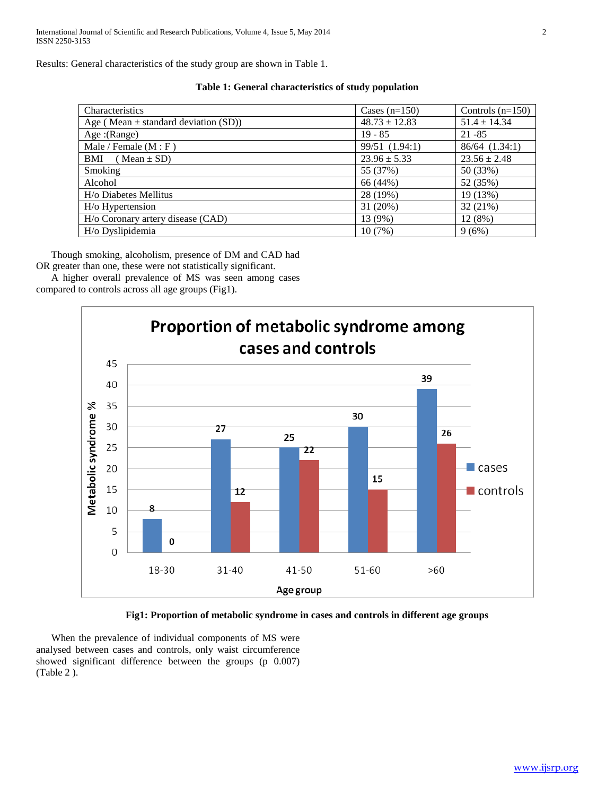Results: General characteristics of the study group are shown in Table 1.

| Characteristics                          | Cases $(n=150)$   | Controls $(n=150)$ |
|------------------------------------------|-------------------|--------------------|
| Age (Mean $\pm$ standard deviation (SD)) | $48.73 \pm 12.83$ | $51.4 \pm 14.34$   |
| Age: (Range)                             | $19 - 85$         | $21 - 85$          |
| Male / Female $(M : F)$                  | 99/51 (1.94:1)    | 86/64 (1.34:1)     |
| $BMI \quad (Mean \pm SD)$                | $23.96 \pm 5.33$  | $23.56 \pm 2.48$   |
| Smoking                                  | 55 (37%)          | 50 (33%)           |
| Alcohol                                  | 66 (44%)          | 52 (35%)           |
| H/o Diabetes Mellitus                    | 28 (19%)          | 19 (13%)           |
| H/o Hypertension                         | 31 (20%)          | 32 (21%)           |
| H/o Coronary artery disease (CAD)        | 13 (9%)           | 12 (8%)            |
| H/o Dyslipidemia                         | 10(7%)            | 9(6%)              |

 Though smoking, alcoholism, presence of DM and CAD had OR greater than one, these were not statistically significant.

 A higher overall prevalence of MS was seen among cases compared to controls across all age groups (Fig1).





 When the prevalence of individual components of MS were analysed between cases and controls, only waist circumference showed significant difference between the groups (p 0.007) (Table 2 ).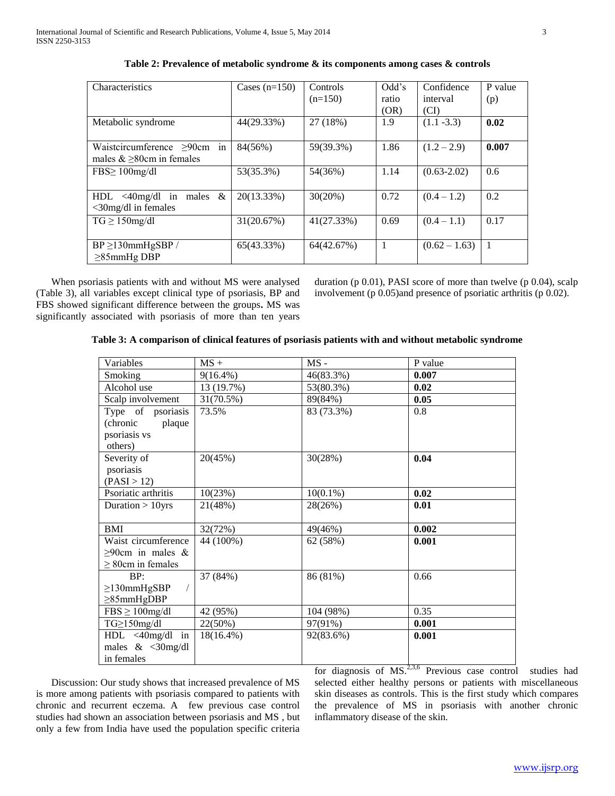| <b>Characteristics</b>                                                  | Cases $(n=150)$ | Controls<br>$(n=150)$ | Odd's<br>ratio<br>(OR) | Confidence<br>interval<br>(CI) | P value<br>(p) |
|-------------------------------------------------------------------------|-----------------|-----------------------|------------------------|--------------------------------|----------------|
| Metabolic syndrome                                                      | 44(29.33%)      | 27 (18%)              | 1.9                    | $(1.1 - 3.3)$                  | 0.02           |
| Waistcircumference $\geq 90$ cm<br>in<br>males $&\geq 80$ cm in females | 84(56%)         | 59(39.3%)             | 1.86                   | $(1.2 - 2.9)$                  | 0.007          |
| $FBS \geq 100$ mg/dl                                                    | 53(35.3%)       | 54(36%)               | 1.14                   | $(0.63 - 2.02)$                | 0.6            |
| males $\&$<br>HDL < 40mg/dl<br>in<br>$\langle$ 30mg/dl in females       | 20(13.33%)      | 30(20%)               | 0.72                   | $(0.4 - 1.2)$                  | 0.2            |
| $TG \geq 150$ mg/dl                                                     | 31(20.67%)      | 41(27.33%)            | 0.69                   | $(0.4 - 1.1)$                  | 0.17           |
| $BP \ge 130$ mmHgSBP/<br>$\geq$ 85mmHg DBP                              | 65(43.33%)      | 64(42.67%)            | 1                      | $(0.62 - 1.63)$                | 1              |

When psoriasis patients with and without MS were analysed (Table 3), all variables except clinical type of psoriasis, BP and FBS showed significant difference between the groups**.** MS was significantly associated with psoriasis of more than ten years

duration (p 0.01), PASI score of more than twelve (p 0.04), scalp involvement (p 0.05)and presence of psoriatic arthritis (p 0.02).

## **Table 3: A comparison of clinical features of psoriasis patients with and without metabolic syndrome**

| Variables              | $MS +$       | $MS -$                     | P value |
|------------------------|--------------|----------------------------|---------|
| Smoking                | $9(16.4\%)$  | 46(83.3%)                  | 0.007   |
| Alcohol use            | 13 (19.7%)   | 53(80.3%)                  | 0.02    |
| Scalp involvement      | 31(70.5%)    | 89(84%)                    | 0.05    |
| Type of psoriasis      | 73.5%        | 83 (73.3%)                 | 0.8     |
| (chronic plaque        |              |                            |         |
| psoriasis vs           |              |                            |         |
| others)                |              |                            |         |
| Severity of            | 20(45%)      | 30(28%)                    | 0.04    |
| psoriasis              |              |                            |         |
| (PASI > 12)            |              |                            |         |
| Psoriatic arthritis    | 10(23%)      | $10(0.1\%)$                | 0.02    |
| Duration $> 10$ yrs    | 21(48%)      | 28(26%)                    | 0.01    |
|                        |              |                            |         |
| BMI                    | 32(72%)      | 49(46%)                    | 0.002   |
| Waist circumference    | 44 (100%)    | 62 (58%)                   | 0.001   |
| $\geq$ 90cm in males & |              |                            |         |
| $\geq$ 80cm in females |              |                            |         |
| BP:                    | 37 (84%)     | 86 (81%)                   | 0.66    |
| $\geq$ 130mmHgSBP      |              |                            |         |
| $\geq$ 85mmHgDBP       |              |                            |         |
| $FBS \ge 100$ mg/dl    | 42 (95%)     | 104 (98%)                  | 0.35    |
| TG≥150mg/dl            | 22(50%)      | 97(91%)                    | 0.001   |
| $HDL < 40$ mg/dl in    | $18(16.4\%)$ | 92(83.6%)                  | 0.001   |
| males $<30$ mg/dl      |              |                            |         |
| in females             |              | $c \t-1$ $c \t-1$ $c \t-1$ |         |

 Discussion: Our study shows that increased prevalence of MS is more among patients with psoriasis compared to patients with chronic and recurrent eczema. A few previous case control studies had shown an association between psoriasis and MS , but only a few from India have used the population specific criteria

for diagnosis of  $MS.^{2,3,6}$  Previous case control studies had selected either healthy persons or patients with miscellaneous skin diseases as controls. This is the first study which compares the prevalence of MS in psoriasis with another chronic inflammatory disease of the skin.